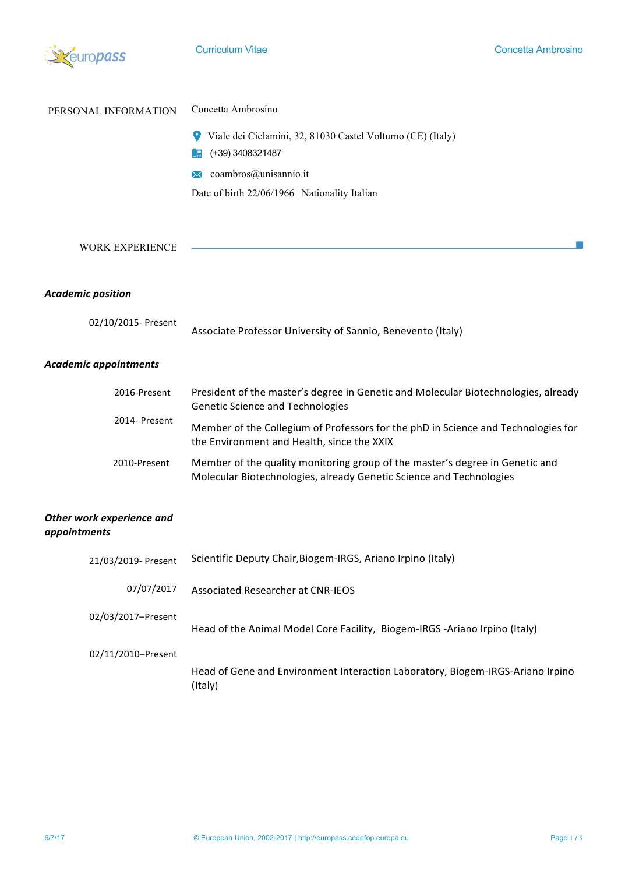

| PERSONAL INFORMATION   | Concetta Ambrosino                                                                         |
|------------------------|--------------------------------------------------------------------------------------------|
|                        | Viale dei Ciclamini, 32, 81030 Castel Volturno (CE) (Italy)<br>9<br>(+39) 3408321487<br>Ug |
|                        | coambros@unisannio.it<br>$\bowtie$                                                         |
|                        | Date of birth 22/06/1966   Nationality Italian                                             |
|                        |                                                                                            |
| <b>WORK EXPERIENCE</b> |                                                                                            |
| Academic nosition      |                                                                                            |

### *Academic position*

| 02/10/2015- Present |                                                             |
|---------------------|-------------------------------------------------------------|
|                     | Associate Professor University of Sannio, Benevento (Italy) |

## *Academic appointments*

| 2016-Present  | President of the master's degree in Genetic and Molecular Biotechnologies, already<br><b>Genetic Science and Technologies</b>                       |  |
|---------------|-----------------------------------------------------------------------------------------------------------------------------------------------------|--|
| 2014- Present | Member of the Collegium of Professors for the phD in Science and Technologies for<br>the Environment and Health, since the XXIX                     |  |
| 2010-Present  | Member of the quality monitoring group of the master's degree in Genetic and<br>Molecular Biotechnologies, already Genetic Science and Technologies |  |

# **Other work experience and** *appointments*

| 21/03/2019- Present | Scientific Deputy Chair, Biogem-IRGS, Ariano Irpino (Italy)                               |
|---------------------|-------------------------------------------------------------------------------------------|
| 07/07/2017          | Associated Researcher at CNR-IEOS                                                         |
| 02/03/2017-Present  | Head of the Animal Model Core Facility, Biogem-IRGS -Ariano Irpino (Italy)                |
| 02/11/2010-Present  |                                                                                           |
|                     | Head of Gene and Environment Interaction Laboratory, Biogem-IRGS-Ariano Irpino<br>(Italy) |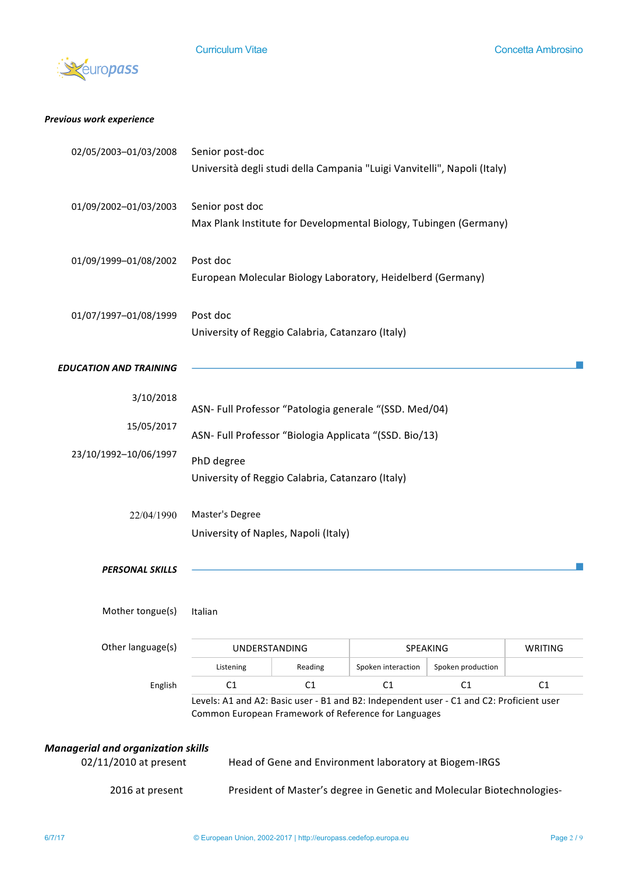

### *Previous work experience*

| 2016 at present                                                    |                                                                                                |         |                                                        | President of Master's degree in Genetic and Molecular Biotechnologies- |         |
|--------------------------------------------------------------------|------------------------------------------------------------------------------------------------|---------|--------------------------------------------------------|------------------------------------------------------------------------|---------|
| <b>Managerial and organization skills</b><br>02/11/2010 at present |                                                                                                |         | Head of Gene and Environment laboratory at Biogem-IRGS |                                                                        |         |
|                                                                    | Common European Framework of Reference for Languages                                           |         |                                                        |                                                                        |         |
| English                                                            | C1<br>Levels: A1 and A2: Basic user - B1 and B2: Independent user - C1 and C2: Proficient user | C1      | C1                                                     | C <sub>1</sub>                                                         | C1      |
|                                                                    | Listening                                                                                      | Reading | Spoken interaction                                     | Spoken production                                                      |         |
| Other language(s)                                                  | <b>UNDERSTANDING</b>                                                                           |         | SPEAKING                                               |                                                                        | WRITING |
| Mother tongue(s) Italian                                           |                                                                                                |         |                                                        |                                                                        |         |
| <b>PERSONAL SKILLS</b>                                             |                                                                                                |         |                                                        |                                                                        |         |
|                                                                    | University of Naples, Napoli (Italy)                                                           |         |                                                        |                                                                        |         |
| 22/04/1990                                                         | Master's Degree                                                                                |         |                                                        |                                                                        |         |
|                                                                    |                                                                                                |         |                                                        |                                                                        |         |
| 23/10/1992-10/06/1997                                              | PhD degree<br>University of Reggio Calabria, Catanzaro (Italy)                                 |         |                                                        |                                                                        |         |
|                                                                    | ASN- Full Professor "Biologia Applicata "(SSD. Bio/13)                                         |         |                                                        |                                                                        |         |
| 15/05/2017                                                         | ASN- Full Professor "Patologia generale "(SSD. Med/04)                                         |         |                                                        |                                                                        |         |
| 3/10/2018                                                          |                                                                                                |         |                                                        |                                                                        |         |
| <b>EDUCATION AND TRAINING</b>                                      |                                                                                                |         |                                                        |                                                                        |         |
|                                                                    | University of Reggio Calabria, Catanzaro (Italy)                                               |         |                                                        |                                                                        |         |
| 01/07/1997-01/08/1999                                              | Post doc                                                                                       |         |                                                        |                                                                        |         |
|                                                                    | European Molecular Biology Laboratory, Heidelberd (Germany)                                    |         |                                                        |                                                                        |         |
| 01/09/1999-01/08/2002                                              | Post doc                                                                                       |         |                                                        |                                                                        |         |
|                                                                    | Max Plank Institute for Developmental Biology, Tubingen (Germany)                              |         |                                                        |                                                                        |         |
| 01/09/2002-01/03/2003                                              | Senior post doc                                                                                |         |                                                        |                                                                        |         |
|                                                                    | Università degli studi della Campania "Luigi Vanvitelli", Napoli (Italy)                       |         |                                                        |                                                                        |         |
| 02/05/2003-01/03/2008                                              | Senior post-doc                                                                                |         |                                                        |                                                                        |         |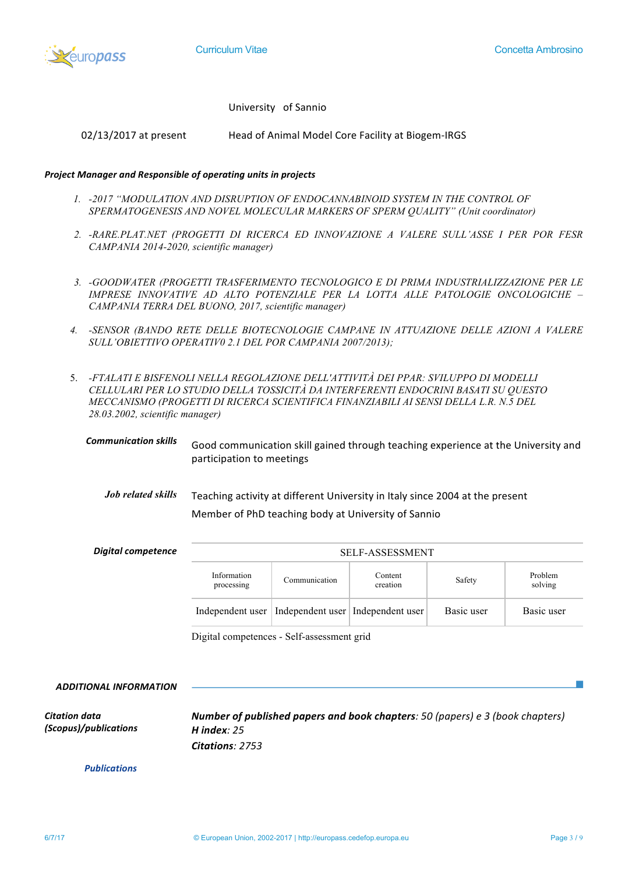

University of Sannio

02/13/2017 at present Head of Animal Model Core Facility at Biogem-IRGS

#### **Project Manager and Responsible of operating units in projects**

- *1. -2017 "MODULATION AND DISRUPTION OF ENDOCANNABINOID SYSTEM IN THE CONTROL OF SPERMATOGENESIS AND NOVEL MOLECULAR MARKERS OF SPERM QUALITY" (Unit coordinator)*
- *2. -RARE.PLAT.NET (PROGETTI DI RICERCA ED INNOVAZIONE A VALERE SULL'ASSE I PER POR FESR CAMPANIA 2014-2020, scientific manager)*
- *3. -GOODWATER (PROGETTI TRASFERIMENTO TECNOLOGICO E DI PRIMA INDUSTRIALIZZAZIONE PER LE IMPRESE INNOVATIVE AD ALTO POTENZIALE PER LA LOTTA ALLE PATOLOGIE ONCOLOGICHE – CAMPANIA TERRA DEL BUONO, 2017, scientific manager)*
- *4. -SENSOR (BANDO RETE DELLE BIOTECNOLOGIE CAMPANE IN ATTUAZIONE DELLE AZIONI A VALERE SULL'OBIETTIVO OPERATIV0 2.1 DEL POR CAMPANIA 2007/2013);*
- 5. *-FTALATI E BISFENOLI NELLA REGOLAZIONE DELL'ATTIVITÀ DEI PPAR: SVILUPPO DI MODELLI CELLULARI PER LO STUDIO DELLA TOSSICITÀ DA INTERFERENTI ENDOCRINI BASATI SU QUESTO MECCANISMO (PROGETTI DI RICERCA SCIENTIFICA FINANZIABILI AI SENSI DELLA L.R. N.5 DEL 28.03.2002, scientific manager)*
	- **Communication skills** Good communication skill gained through teaching experience at the University and participation to meetings
		- *Job related skills* Teaching activity at different University in Italy since 2004 at the present Member of PhD teaching body at University of Sannio

| Digital competence | <b>SELF-ASSESSMENT</b>    |                                                        |                     |            |                    |
|--------------------|---------------------------|--------------------------------------------------------|---------------------|------------|--------------------|
|                    | Information<br>processing | Communication                                          | Content<br>creation | Safety     | Problem<br>solving |
|                    |                           | Independent user   Independent user   Independent user |                     | Basic user | Basic user         |

Digital competences - Self-assessment grid

**ADDITIONAL INFORMATION** *Citation data (Scopus)/publications Publications Number of published papers and book chapters: 50 (papers) e* 3 (book chapters) *H index: 25 Citations: 2753*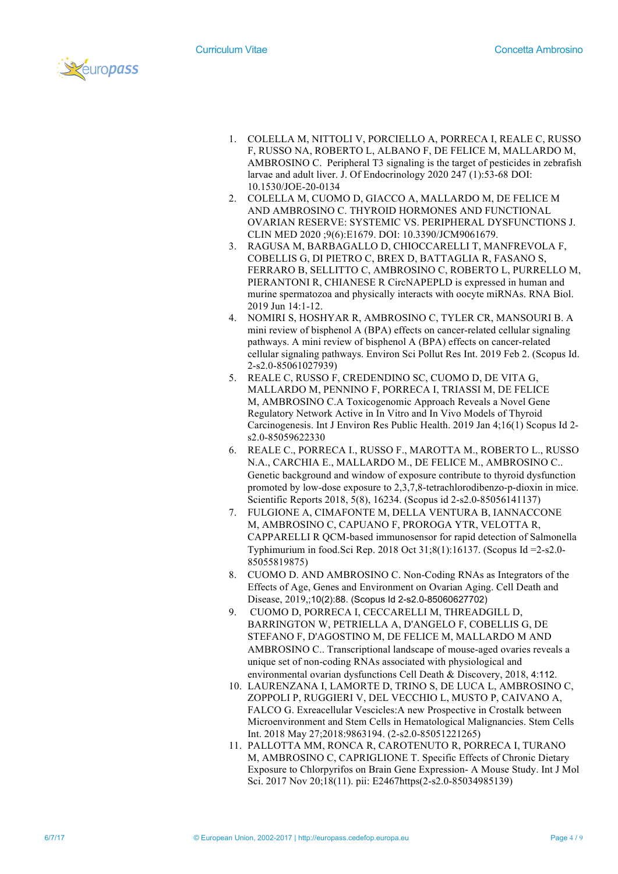



- 1. COLELLA M, NITTOLI V, PORCIELLO A, PORRECA I, REALE C, RUSSO F, RUSSO NA, ROBERTO L, ALBANO F, DE FELICE M, MALLARDO M, AMBROSINO C. Peripheral T3 signaling is the target of pesticides in zebrafish larvae and adult liver. J. Of Endocrinology 2020 247 (1):53-68 DOI: 10.1530/JOE-20-0134
- 2. COLELLA M, CUOMO D, GIACCO A, MALLARDO M, DE FELICE M AND AMBROSINO C. THYROID HORMONES AND FUNCTIONAL OVARIAN RESERVE: SYSTEMIC VS. PERIPHERAL DYSFUNCTIONS J. CLIN MED 2020 ;9(6):E1679. DOI: 10.3390/JCM9061679.
- 3. RAGUSA M, BARBAGALLO D, CHIOCCARELLI T, MANFREVOLA F, COBELLIS G, DI PIETRO C, BREX D, BATTAGLIA R, FASANO S, FERRARO B, SELLITTO C, AMBROSINO C, ROBERTO L, PURRELLO M, PIERANTONI R, CHIANESE R CircNAPEPLD is expressed in human and murine spermatozoa and physically interacts with oocyte miRNAs. RNA Biol. 2019 Jun 14:1-12.
- 4. NOMIRI S, HOSHYAR R, AMBROSINO C, TYLER CR, MANSOURI B. A mini review of bisphenol A (BPA) effects on cancer-related cellular signaling pathways. A mini review of bisphenol A (BPA) effects on cancer-related cellular signaling pathways. Environ Sci Pollut Res Int. 2019 Feb 2. (Scopus Id. 2-s2.0-85061027939)
- 5. REALE C, RUSSO F, CREDENDINO SC, CUOMO D, DE VITA G, MALLARDO M, PENNINO F, PORRECA I, TRIASSI M, DE FELICE M, AMBROSINO C.A Toxicogenomic Approach Reveals a Novel Gene Regulatory Network Active in In Vitro and In Vivo Models of Thyroid Carcinogenesis. Int J Environ Res Public Health. 2019 Jan 4;16(1) Scopus Id 2 s2.0-85059622330
- 6. REALE C., PORRECA I., RUSSO F., MAROTTA M., ROBERTO L., RUSSO N.A., CARCHIA E., MALLARDO M., DE FELICE M., AMBROSINO C.. Genetic background and window of exposure contribute to thyroid dysfunction promoted by low-dose exposure to 2,3,7,8-tetrachlorodibenzo-p-dioxin in mice. Scientific Reports 2018, 5(8), 16234. (Scopus id 2-s2.0-85056141137)
- 7. FULGIONE A, CIMAFONTE M, DELLA VENTURA B, IANNACCONE M, AMBROSINO C, CAPUANO F, PROROGA YTR, VELOTTA R, CAPPARELLI R QCM-based immunosensor for rapid detection of Salmonella Typhimurium in food.Sci Rep. 2018 Oct 31;8(1):16137. (Scopus Id =2-s2.0- 85055819875)
- 8. CUOMO D. AND AMBROSINO C. Non-Coding RNAs as Integrators of the Effects of Age, Genes and Environment on Ovarian Aging. Cell Death and Disease, 2019,;10(2):88. (Scopus Id 2-s2.0-85060627702)
- 9. CUOMO D, PORRECA I, CECCARELLI M, THREADGILL D, BARRINGTON W, PETRIELLA A, D'ANGELO F, COBELLIS G, DE STEFANO F, D'AGOSTINO M, DE FELICE M, MALLARDO M AND AMBROSINO C.. Transcriptional landscape of mouse-aged ovaries reveals a unique set of non-coding RNAs associated with physiological and environmental ovarian dysfunctions Cell Death & Discovery, 2018, 4:112.
- 10. LAURENZANA I, LAMORTE D, TRINO S, DE LUCA L, AMBROSINO C, ZOPPOLI P, RUGGIERI V, DEL VECCHIO L, MUSTO P, CAIVANO A, FALCO G. Exreacellular Vescicles:A new Prospective in Crostalk between Microenvironment and Stem Cells in Hematological Malignancies. Stem Cells Int. 2018 May 27;2018:9863194. (2-s2.0-85051221265)
- 11. PALLOTTA MM, RONCA R, CAROTENUTO R, PORRECA I, TURANO M, AMBROSINO C, CAPRIGLIONE T. Specific Effects of Chronic Dietary Exposure to Chlorpyrifos on Brain Gene Expression- A Mouse Study. Int J Mol Sci. 2017 Nov 20;18(11). pii: E2467https(2-s2.0-85034985139)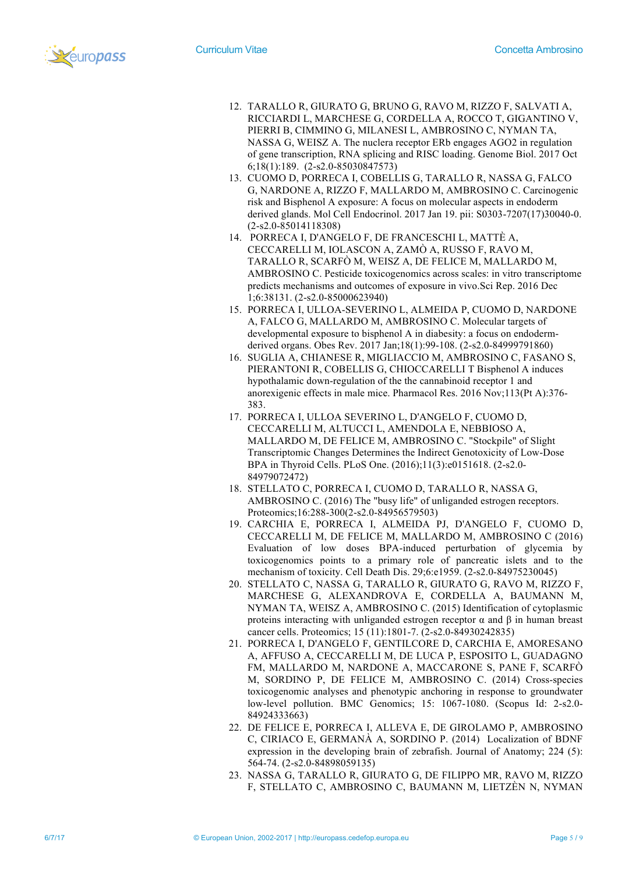

- 12. TARALLO R, GIURATO G, BRUNO G, RAVO M, RIZZO F, SALVATI A, RICCIARDI L, MARCHESE G, CORDELLA A, ROCCO T, GIGANTINO V, PIERRI B, CIMMINO G, MILANESI L, AMBROSINO C, NYMAN TA, NASSA G, WEISZ A. The nuclera receptor ERb engages AGO2 in regulation of gene transcription, RNA splicing and RISC loading. Genome Biol. 2017 Oct 6;18(1):189. (2-s2.0-85030847573)
- 13. CUOMO D, PORRECA I, COBELLIS G, TARALLO R, NASSA G, FALCO G, NARDONE A, RIZZO F, MALLARDO M, AMBROSINO C. Carcinogenic risk and Bisphenol A exposure: A focus on molecular aspects in endoderm derived glands. Mol Cell Endocrinol. 2017 Jan 19. pii: S0303-7207(17)30040-0. (2-s2.0-85014118308)
- 14. PORRECA I, D'ANGELO F, DE FRANCESCHI L, MATTÈ A, CECCARELLI M, IOLASCON A, ZAMÒ A, RUSSO F, RAVO M, TARALLO R, SCARFÒ M, WEISZ A, DE FELICE M, MALLARDO M, AMBROSINO C. Pesticide toxicogenomics across scales: in vitro transcriptome predicts mechanisms and outcomes of exposure in vivo.Sci Rep. 2016 Dec 1;6:38131. (2-s2.0-85000623940)
- 15. PORRECA I, ULLOA-SEVERINO L, ALMEIDA P, CUOMO D, NARDONE A, FALCO G, MALLARDO M, AMBROSINO C. Molecular targets of developmental exposure to bisphenol A in diabesity: a focus on endodermderived organs. Obes Rev. 2017 Jan;18(1):99-108. (2-s2.0-84999791860)
- 16. SUGLIA A, CHIANESE R, MIGLIACCIO M, AMBROSINO C, FASANO S, PIERANTONI R, COBELLIS G, CHIOCCARELLI T Bisphenol A induces hypothalamic down-regulation of the the cannabinoid receptor 1 and anorexigenic effects in male mice. Pharmacol Res. 2016 Nov;113(Pt A):376- 383.
- 17. PORRECA I, ULLOA SEVERINO L, D'ANGELO F, CUOMO D, CECCARELLI M, ALTUCCI L, AMENDOLA E, NEBBIOSO A, MALLARDO M, DE FELICE M, AMBROSINO C. "Stockpile" of Slight Transcriptomic Changes Determines the Indirect Genotoxicity of Low-Dose BPA in Thyroid Cells. PLoS One. (2016);11(3):e0151618. (2-s2.0- 84979072472)
- 18. STELLATO C, PORRECA I, CUOMO D, TARALLO R, NASSA G, AMBROSINO C. (2016) The "busy life" of unliganded estrogen receptors. Proteomics;16:288-300(2-s2.0-84956579503)
- 19. CARCHIA E, PORRECA I, ALMEIDA PJ, D'ANGELO F, CUOMO D, CECCARELLI M, DE FELICE M, MALLARDO M, AMBROSINO C (2016) Evaluation of low doses BPA-induced perturbation of glycemia by toxicogenomics points to a primary role of pancreatic islets and to the mechanism of toxicity. Cell Death Dis. 29;6:e1959. (2-s2.0-84975230045)
- 20. STELLATO C, NASSA G, TARALLO R, GIURATO G, RAVO M, RIZZO F, MARCHESE G, ALEXANDROVA E, CORDELLA A, BAUMANN M, NYMAN TA, WEISZ A, AMBROSINO C. (2015) Identification of cytoplasmic proteins interacting with unliganded estrogen receptor  $\alpha$  and  $\beta$  in human breast cancer cells. Proteomics; 15 (11):1801-7. (2-s2.0-84930242835)
- 21. PORRECA I, D'ANGELO F, GENTILCORE D, CARCHIA E, AMORESANO A, AFFUSO A, CECCARELLI M, DE LUCA P, ESPOSITO L, GUADAGNO FM, MALLARDO M, NARDONE A, MACCARONE S, PANE F, SCARFÒ M, SORDINO P, DE FELICE M, AMBROSINO C. (2014) Cross-species toxicogenomic analyses and phenotypic anchoring in response to groundwater low-level pollution. BMC Genomics; 15: 1067-1080. (Scopus Id: 2-s2.0- 84924333663)
- 22. DE FELICE E, PORRECA I, ALLEVA E, DE GIROLAMO P, AMBROSINO C, CIRIACO E, GERMANÀ A, SORDINO P. (2014) Localization of BDNF expression in the developing brain of zebrafish. Journal of Anatomy; 224 (5): 564-74. (2-s2.0-84898059135)
- 23. NASSA G, TARALLO R, GIURATO G, DE FILIPPO MR, RAVO M, RIZZO F, STELLATO C, AMBROSINO C, BAUMANN M, LIETZÈN N, NYMAN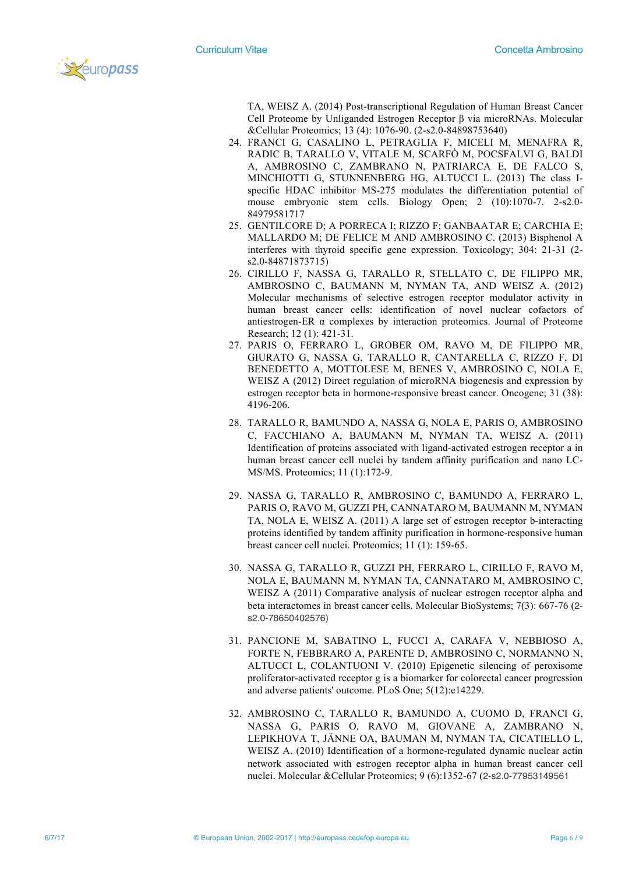

TA, WEISZ A. (2014) Post-transcriptional Regulation of Human Breast Cancer Cell Proteome by Unliganded Estrogen Receptor β via microRNAs. Molecular &Cellular Proteomics; 13 (4): 1076-90. (2-s2.0-84898753640)

- 24. FRANCI G, CASALINO L, PETRAGLIA F, MICELI M, MENAFRA R, RADIC B, TARALLO V, VITALE M, SCARFÒ M, POCSFALVI G, BALDI A, AMBROSINO C, ZAMBRANO N, PATRIARCA E, DE FALCO S, MINCHIOTTI G, STUNNENBERG HG, ALTUCCI L. (2013) The class Ispecific HDAC inhibitor MS-275 modulates the differentiation potential of mouse embryonic stem cells. Biology Open; 2 (10):1070-7. 2-s2.0- 84979581717
- 25. GENTILCORE D; A PORRECA I; RIZZO F; GANBAATAR E; CARCHIA E; MALLARDO M; DE FELICE M AND AMBROSINO C. (2013) Bisphenol A interferes with thyroid specific gene expression. Toxicology; 304: 21-31 (2 s2.0-84871873715)
- 26. CIRILLO F, NASSA G, TARALLO R, STELLATO C, DE FILIPPO MR, AMBROSINO C, BAUMANN M, NYMAN TA, AND WEISZ A. (2012) Molecular mechanisms of selective estrogen receptor modulator activity in human breast cancer cells: identification of novel nuclear cofactors of antiestrogen-ER α complexes by interaction proteomics. Journal of Proteome Research; 12 (1): 421-31.
- 27. PARIS O, FERRARO L, GROBER OM, RAVO M, DE FILIPPO MR, GIURATO G, NASSA G, TARALLO R, CANTARELLA C, RIZZO F, DI BENEDETTO A, MOTTOLESE M, BENES V, AMBROSINO C, NOLA E, WEISZ A (2012) Direct regulation of microRNA biogenesis and expression by estrogen receptor beta in hormone-responsive breast cancer. Oncogene; 31 (38): 4196-206.
- 28. TARALLO R, BAMUNDO A, NASSA G, NOLA E, PARIS O, AMBROSINO C, FACCHIANO A, BAUMANN M, NYMAN TA, WEISZ A. (2011) Identification of proteins associated with ligand-activated estrogen receptor a in human breast cancer cell nuclei by tandem affinity purification and nano LC-MS/MS. Proteomics; 11 (1):172-9.
- 29. NASSA G, TARALLO R, AMBROSINO C, BAMUNDO A, FERRARO L, PARIS O, RAVO M, GUZZI PH, CANNATARO M, BAUMANN M, NYMAN TA, NOLA E, WEISZ A. (2011) A large set of estrogen receptor b-interacting proteins identified by tandem affinity purification in hormone-responsive human breast cancer cell nuclei. Proteomics; 11 (1): 159-65.
- 30. NASSA G, TARALLO R, GUZZI PH, FERRARO L, CIRILLO F, RAVO M, NOLA E, BAUMANN M, NYMAN TA, CANNATARO M, AMBROSINO C, WEISZ A (2011) Comparative analysis of nuclear estrogen receptor alpha and beta interactomes in breast cancer cells. Molecular BioSystems; 7(3): 667-76 (2 s2.0-78650402576)
- 31. PANCIONE M, SABATINO L, FUCCI A, CARAFA V, NEBBIOSO A, FORTE N, FEBBRARO A, PARENTE D, AMBROSINO C, NORMANNO N, ALTUCCI L, COLANTUONI V. (2010) Epigenetic silencing of peroxisome proliferator-activated receptor g is a biomarker for colorectal cancer progression and adverse patients' outcome. PLoS One; 5(12):e14229.
- 32. AMBROSINO C, TARALLO R, BAMUNDO A, CUOMO D, FRANCI G, NASSA G, PARIS O, RAVO M, GIOVANE A, ZAMBRANO N, LEPIKHOVA T, JÄNNE OA, BAUMAN M, NYMAN TA, CICATIELLO L, WEISZ A. (2010) Identification of a hormone-regulated dynamic nuclear actin network associated with estrogen receptor alpha in human breast cancer cell nuclei. Molecular &Cellular Proteomics; 9 (6):1352-67 (2-s2.0-77953149561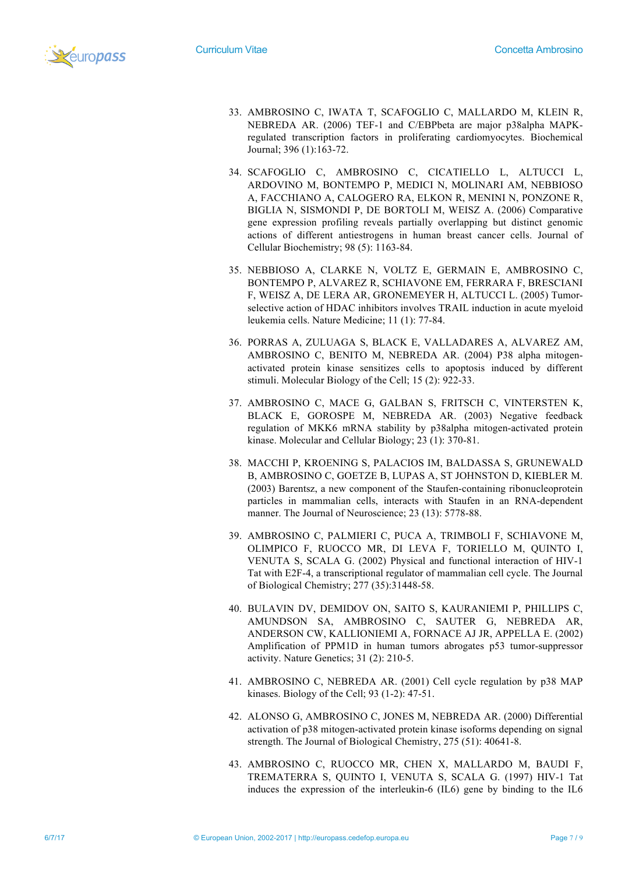

- 33. AMBROSINO C, IWATA T, SCAFOGLIO C, MALLARDO M, KLEIN R, NEBREDA AR. (2006) TEF-1 and C/EBPbeta are major p38alpha MAPKregulated transcription factors in proliferating cardiomyocytes. Biochemical Journal; 396 (1):163-72.
- 34. SCAFOGLIO C, AMBROSINO C, CICATIELLO L, ALTUCCI L, ARDOVINO M, BONTEMPO P, MEDICI N, MOLINARI AM, NEBBIOSO A, FACCHIANO A, CALOGERO RA, ELKON R, MENINI N, PONZONE R, BIGLIA N, SISMONDI P, DE BORTOLI M, WEISZ A. (2006) Comparative gene expression profiling reveals partially overlapping but distinct genomic actions of different antiestrogens in human breast cancer cells. Journal of Cellular Biochemistry; 98 (5): 1163-84.
- 35. NEBBIOSO A, CLARKE N, VOLTZ E, GERMAIN E, AMBROSINO C, BONTEMPO P, ALVAREZ R, SCHIAVONE EM, FERRARA F, BRESCIANI F, WEISZ A, DE LERA AR, GRONEMEYER H, ALTUCCI L. (2005) Tumorselective action of HDAC inhibitors involves TRAIL induction in acute myeloid leukemia cells. Nature Medicine; 11 (1): 77-84.
- 36. PORRAS A, ZULUAGA S, BLACK E, VALLADARES A, ALVAREZ AM, AMBROSINO C, BENITO M, NEBREDA AR. (2004) P38 alpha mitogenactivated protein kinase sensitizes cells to apoptosis induced by different stimuli. Molecular Biology of the Cell; 15 (2): 922-33.
- 37. AMBROSINO C, MACE G, GALBAN S, FRITSCH C, VINTERSTEN K, BLACK E, GOROSPE M, NEBREDA AR. (2003) Negative feedback regulation of MKK6 mRNA stability by p38alpha mitogen-activated protein kinase. Molecular and Cellular Biology; 23 (1): 370-81.
- 38. MACCHI P, KROENING S, PALACIOS IM, BALDASSA S, GRUNEWALD B, AMBROSINO C, GOETZE B, LUPAS A, ST JOHNSTON D, KIEBLER M. (2003) Barentsz, a new component of the Staufen-containing ribonucleoprotein particles in mammalian cells, interacts with Staufen in an RNA-dependent manner. The Journal of Neuroscience; 23 (13): 5778-88.
- 39. AMBROSINO C, PALMIERI C, PUCA A, TRIMBOLI F, SCHIAVONE M, OLIMPICO F, RUOCCO MR, DI LEVA F, TORIELLO M, QUINTO I, VENUTA S, SCALA G. (2002) Physical and functional interaction of HIV-1 Tat with E2F-4, a transcriptional regulator of mammalian cell cycle. The Journal of Biological Chemistry; 277 (35):31448-58.
- 40. BULAVIN DV, DEMIDOV ON, SAITO S, KAURANIEMI P, PHILLIPS C, AMUNDSON SA, AMBROSINO C, SAUTER G, NEBREDA AR, ANDERSON CW, KALLIONIEMI A, FORNACE AJ JR, APPELLA E. (2002) Amplification of PPM1D in human tumors abrogates p53 tumor-suppressor activity. Nature Genetics; 31 (2): 210-5.
- 41. AMBROSINO C, NEBREDA AR. (2001) Cell cycle regulation by p38 MAP kinases. Biology of the Cell; 93 (1-2): 47-51.
- 42. ALONSO G, AMBROSINO C, JONES M, NEBREDA AR. (2000) Differential activation of p38 mitogen-activated protein kinase isoforms depending on signal strength. The Journal of Biological Chemistry, 275 (51): 40641-8.
- 43. AMBROSINO C, RUOCCO MR, CHEN X, MALLARDO M, BAUDI F, TREMATERRA S, QUINTO I, VENUTA S, SCALA G. (1997) HIV-1 Tat induces the expression of the interleukin-6 (IL6) gene by binding to the IL6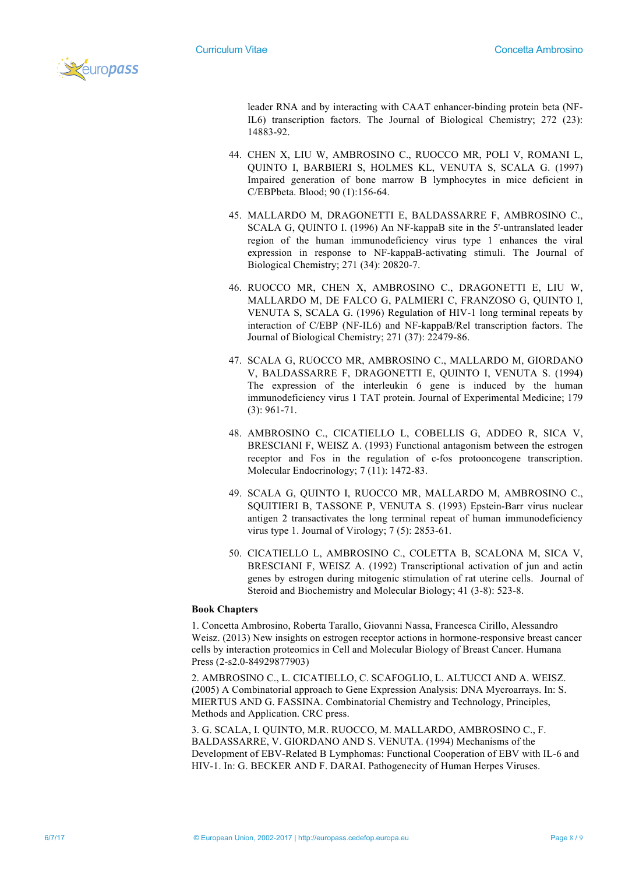

leader RNA and by interacting with CAAT enhancer-binding protein beta (NF-IL6) transcription factors. The Journal of Biological Chemistry; 272 (23): 14883-92.

- 44. CHEN X, LIU W, AMBROSINO C., RUOCCO MR, POLI V, ROMANI L, QUINTO I, BARBIERI S, HOLMES KL, VENUTA S, SCALA G. (1997) Impaired generation of bone marrow B lymphocytes in mice deficient in C/EBPbeta. Blood; 90 (1):156-64.
- 45. MALLARDO M, DRAGONETTI E, BALDASSARRE F, AMBROSINO C., SCALA G, QUINTO I. (1996) An NF-kappaB site in the 5'-untranslated leader region of the human immunodeficiency virus type 1 enhances the viral expression in response to NF-kappaB-activating stimuli. The Journal of Biological Chemistry; 271 (34): 20820-7.
- 46. RUOCCO MR, CHEN X, AMBROSINO C., DRAGONETTI E, LIU W, MALLARDO M, DE FALCO G, PALMIERI C, FRANZOSO G, QUINTO I, VENUTA S, SCALA G. (1996) Regulation of HIV-1 long terminal repeats by interaction of C/EBP (NF-IL6) and NF-kappaB/Rel transcription factors. The Journal of Biological Chemistry; 271 (37): 22479-86.
- 47. SCALA G, RUOCCO MR, AMBROSINO C., MALLARDO M, GIORDANO V, BALDASSARRE F, DRAGONETTI E, QUINTO I, VENUTA S. (1994) The expression of the interleukin 6 gene is induced by the human immunodeficiency virus 1 TAT protein. Journal of Experimental Medicine; 179 (3): 961-71.
- 48. AMBROSINO C., CICATIELLO L, COBELLIS G, ADDEO R, SICA V, BRESCIANI F, WEISZ A. (1993) Functional antagonism between the estrogen receptor and Fos in the regulation of c-fos protooncogene transcription. Molecular Endocrinology; 7 (11): 1472-83.
- 49. SCALA G, QUINTO I, RUOCCO MR, MALLARDO M, AMBROSINO C., SQUITIERI B, TASSONE P, VENUTA S. (1993) Epstein-Barr virus nuclear antigen 2 transactivates the long terminal repeat of human immunodeficiency virus type 1. Journal of Virology; 7 (5): 2853-61.
- 50. CICATIELLO L, AMBROSINO C., COLETTA B, SCALONA M, SICA V, BRESCIANI F, WEISZ A. (1992) Transcriptional activation of jun and actin genes by estrogen during mitogenic stimulation of rat uterine cells. Journal of Steroid and Biochemistry and Molecular Biology; 41 (3-8): 523-8.

#### **Book Chapters**

1. Concetta Ambrosino, Roberta Tarallo, Giovanni Nassa, Francesca Cirillo, Alessandro Weisz. (2013) New insights on estrogen receptor actions in hormone-responsive breast cancer cells by interaction proteomics in Cell and Molecular Biology of Breast Cancer. Humana Press (2-s2.0-84929877903)

2. AMBROSINO C., L. CICATIELLO, C. SCAFOGLIO, L. ALTUCCI AND A. WEISZ. (2005) A Combinatorial approach to Gene Expression Analysis: DNA Mycroarrays. In: S. MIERTUS AND G. FASSINA. Combinatorial Chemistry and Technology, Principles, Methods and Application. CRC press.

3. G. SCALA, I. QUINTO, M.R. RUOCCO, M. MALLARDO, AMBROSINO C., F. BALDASSARRE, V. GIORDANO AND S. VENUTA. (1994) Mechanisms of the Development of EBV-Related B Lymphomas: Functional Cooperation of EBV with IL-6 and HIV-1. In: G. BECKER AND F. DARAI. Pathogenecity of Human Herpes Viruses.